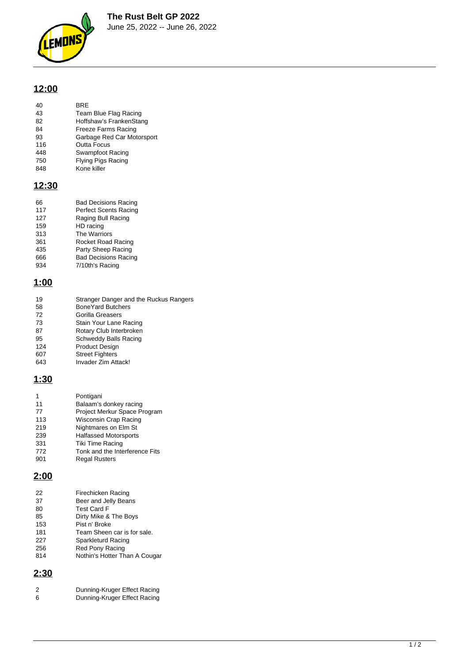

### **12:00**

| 40 | <b>BRF</b>            |
|----|-----------------------|
| 43 | Team Blue Flag Racing |

- Hoffshaw's FrankenStang
- Freeze Farms Racing
- Garbage Red Car Motorsport
- 116 Outta Focus<br>448 Swampfoot F Swampfoot Racing
- Flying Pigs Racing
- Kone killer

### **12:30**

| 66  | <b>Bad Decisions Racing</b>  |
|-----|------------------------------|
| 117 | <b>Perfect Scents Racing</b> |
| 127 | Raging Bull Racing           |
| 159 | HD racing                    |
| 313 | The Warriors                 |
| 361 | Rocket Road Racing           |
| 435 | Party Sheep Racing           |
| 666 | <b>Bad Decisions Racing</b>  |
| 934 | 7/10th's Racing              |

## **1:00**

| 19  | Stranger Danger and the Ruckus Rangers |
|-----|----------------------------------------|
| 58  | <b>BoneYard Butchers</b>               |
| 72  | Gorilla Greasers                       |
| 73  | Stain Your Lane Racing                 |
| 87  | Rotary Club Interbroken                |
| 95  | Schweddy Balls Racing                  |
| 124 | <b>Product Design</b>                  |
| 607 | <b>Street Fighters</b>                 |
| 643 | Invader Zim Attack!                    |
|     |                                        |

## **1:30**

| 1   | Pontigani                      |
|-----|--------------------------------|
| 11  | Balaam's donkey racing         |
| 77  | Project Merkur Space Program   |
| 113 | Wisconsin Crap Racing          |
| 219 | Nightmares on Elm St           |
| 239 | <b>Halfassed Motorsports</b>   |
| 331 | <b>Tiki Time Racing</b>        |
| 772 | Tonk and the Interference Fits |
| 901 | <b>Regal Rusters</b>           |

## **2:00**

| 22  | Firechicken Racing            |
|-----|-------------------------------|
| 37  | Beer and Jelly Beans          |
| 80  | <b>Test Card F</b>            |
| 85  | Dirty Mike & The Boys         |
| 153 | Pist n' Broke                 |
| 181 | Team Sheen car is for sale.   |
| 227 | Sparkleturd Racing            |
| 256 | Red Pony Racing               |
| 814 | Nothin's Hotter Than A Cougar |
|     |                               |

# **2:30**

| 2 | Dunning-Kruger Effect Racing |
|---|------------------------------|
| 6 | Dunning-Kruger Effect Racing |